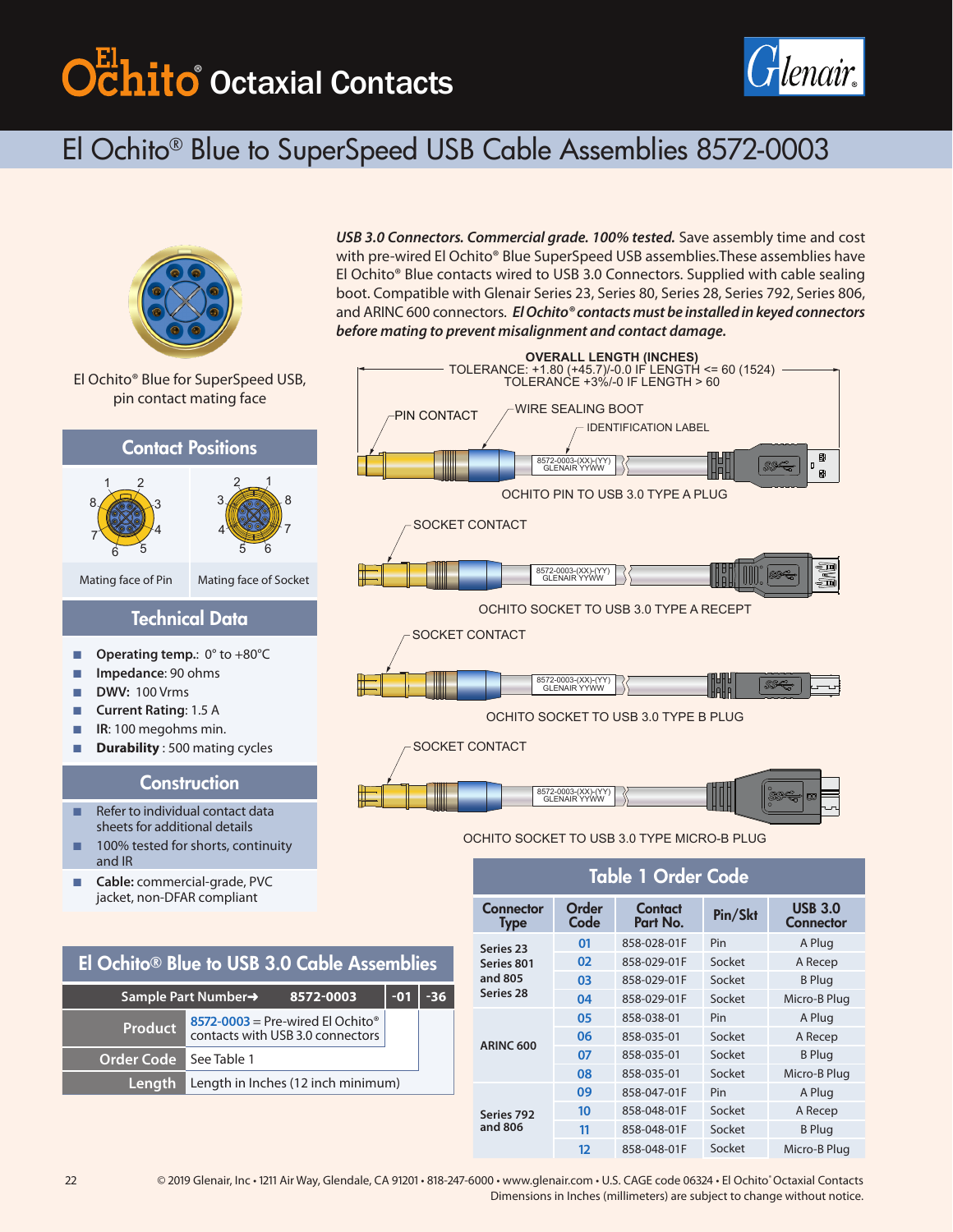# ® Octaxial Contacts



# El Ochito® Blue to SuperSpeed USB Cable Assemblies 8572-0003



El Ochito® Blue for SuperSpeed USB, pin contact mating face

### Contact Positions





Mating face of Pin Mating face of Socket

### Technical Data

- **Derating temp.: 0° to +80°C**
- Q **Impedance**: 90 ohms
- Q **DWV:** 100 Vrms
- Q **Current Rating**: 1.5 A
- **IR:** 100 megohms min.
- **Durability**: 500 mating cycles

### **Construction**

- $\blacksquare$  Refer to individual contact data sheets for additional details
- $\blacksquare$  100% tested for shorts, continuity and IR
- **Cable:** commercial-grade, PVC jacket, non-DFAR compliant

## El Ochito® Blue to USB 3.0 Cable Assemblies

|            | Sample Part Number→<br>8572-0003                                                     | $-01$ | $-36$ |
|------------|--------------------------------------------------------------------------------------|-------|-------|
| Product    | $8572 - 0003$ = Pre-wired El Ochito <sup>®</sup><br>contacts with USB 3.0 connectors |       |       |
| Order Code | l See Table 1                                                                        |       |       |
| 'Lenath    | Length in Inches (12 inch minimum)                                                   |       |       |





### OCHITO SOCKET TO USB 3.0 TYPE MICRO-B PLUG

8572-0003-(XX)-(YY) GLENAIR YYWW

| Table 1 Order Code                              |               |                     |         |                             |  |  |
|-------------------------------------------------|---------------|---------------------|---------|-----------------------------|--|--|
| Connector<br>Type                               | Order<br>Code | Contact<br>Part No. | Pin/Skt | <b>USB 3.0</b><br>Connector |  |  |
| Series 23<br>Series 801<br>and 805<br>Series 28 | 01            | 858-028-01F         | Pin     | A Plug                      |  |  |
|                                                 | 02            | 858-029-01F         | Socket  | A Recep                     |  |  |
|                                                 | 03            | 858-029-01F         | Socket  | <b>B</b> Plug               |  |  |
|                                                 | 04            | 858-029-01F         | Socket  | Micro-B Plug                |  |  |
| <b>ARINC 600</b>                                | 05            | 858-038-01          | Pin     | A Plug                      |  |  |
|                                                 | 06            | 858-035-01          | Socket  | A Recep                     |  |  |
|                                                 | 07            | 858-035-01          | Socket  | <b>B</b> Plug               |  |  |
|                                                 | 08            | 858-035-01          | Socket  | Micro-B Plug                |  |  |
| Series 792<br>and 806                           | 09            | 858-047-01F         | Pin     | A Plug                      |  |  |
|                                                 | 10            | 858-048-01F         | Socket  | A Recep                     |  |  |
|                                                 | 11            | 858-048-01F         | Socket  | <b>B</b> Plug               |  |  |
|                                                 | 12            | 858-048-01F         | Socket  | Micro-B Plug                |  |  |